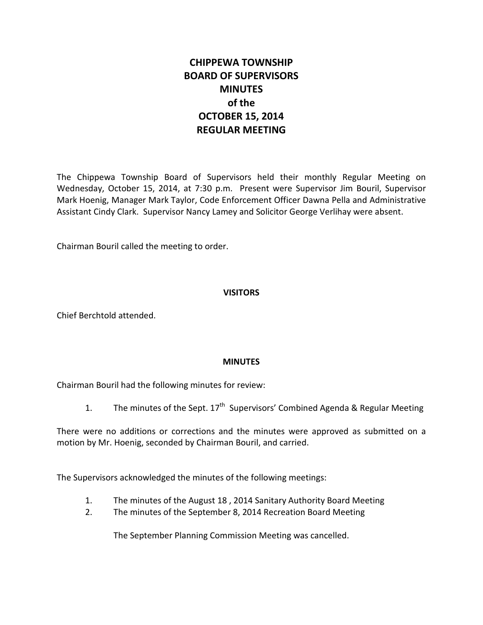# **CHIPPEWA TOWNSHIP BOARD OF SUPERVISORS MINUTES of the OCTOBER 15, 2014 REGULAR MEETING**

The Chippewa Township Board of Supervisors held their monthly Regular Meeting on Wednesday, October 15, 2014, at 7:30 p.m. Present were Supervisor Jim Bouril, Supervisor Mark Hoenig, Manager Mark Taylor, Code Enforcement Officer Dawna Pella and Administrative Assistant Cindy Clark. Supervisor Nancy Lamey and Solicitor George Verlihay were absent.

Chairman Bouril called the meeting to order.

# **VISITORS**

Chief Berchtold attended.

## **MINUTES**

Chairman Bouril had the following minutes for review:

1. The minutes of the Sept.  $17<sup>th</sup>$  Supervisors' Combined Agenda & Regular Meeting

There were no additions or corrections and the minutes were approved as submitted on a motion by Mr. Hoenig, seconded by Chairman Bouril, and carried.

The Supervisors acknowledged the minutes of the following meetings:

- 1. The minutes of the August 18 , 2014 Sanitary Authority Board Meeting
- 2. The minutes of the September 8, 2014 Recreation Board Meeting

The September Planning Commission Meeting was cancelled.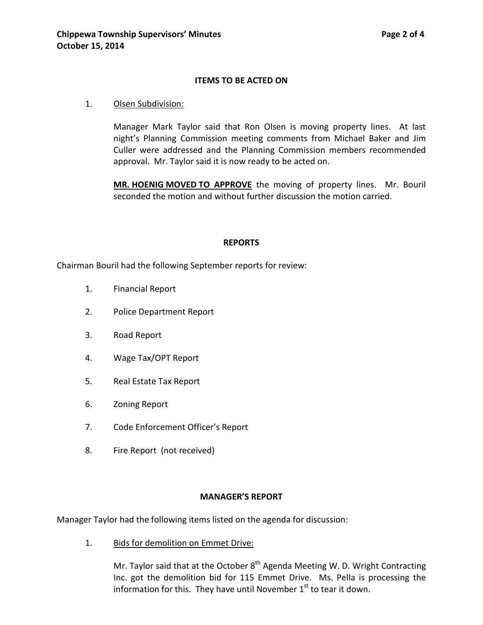## **ITEMS TO BE ACTED ON**

## 1. Olsen Subdivision:

Manager Mark Taylor said that Ron Olsen is moving property lines. At last night's Planning Commission meeting comments from Michael Baker and Jim Culler were addressed and the Planning Commission members recommended approval. Mr. Taylor said it is now ready to be acted on.

**MR. HOENIG MOVED TO APPROVE** the moving of property lines. Mr. Bouril seconded the motion and without further discussion the motion carried.

#### **REPORTS**

Chairman Bouril had the following September reports for review:

- 1. Financial Report
- 2. Police Department Report
- 3. Road Report
- 4. Wage Tax/OPT Report
- 5. Real Estate Tax Report
- 6. Zoning Report
- 7. Code Enforcement Officer's Report
- 8. Fire Report (not received)

#### **MANAGER'S REPORT**

Manager Taylor had the following items listed on the agenda for discussion:

1. Bids for demolition on Emmet Drive:

Mr. Taylor said that at the October  $8<sup>th</sup>$  Agenda Meeting W. D. Wright Contracting Inc. got the demolition bid for 115 Emmet Drive. Ms. Pella is processing the information for this. They have until November  $1<sup>st</sup>$  to tear it down.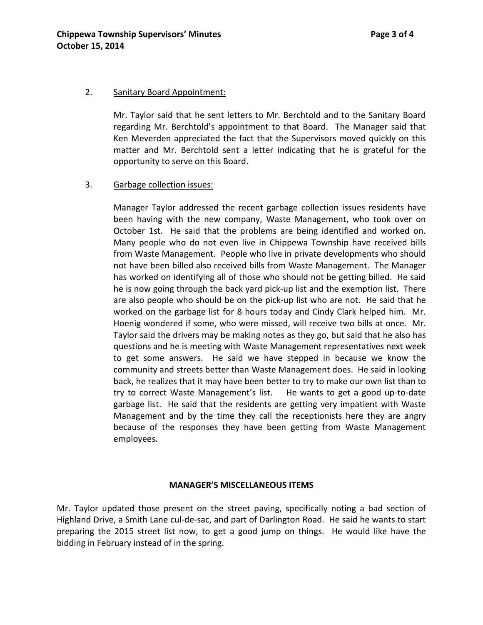## 2. Sanitary Board Appointment:

Mr. Taylor said that he sent letters to Mr. Berchtold and to the Sanitary Board regarding Mr. Berchtold's appointment to that Board. The Manager said that Ken Meverden appreciated the fact that the Supervisors moved quickly on this matter and Mr. Berchtold sent a letter indicating that he is grateful for the opportunity to serve on this Board.

## 3. Garbage collection issues:

Manager Taylor addressed the recent garbage collection issues residents have been having with the new company, Waste Management, who took over on October 1st. He said that the problems are being identified and worked on. Many people who do not even live in Chippewa Township have received bills from Waste Management. People who live in private developments who should not have been billed also received bills from Waste Management. The Manager has worked on identifying all of those who should not be getting billed. He said he is now going through the back yard pick-up list and the exemption list. There are also people who should be on the pick-up list who are not. He said that he worked on the garbage list for 8 hours today and Cindy Clark helped him. Mr. Hoenig wondered if some, who were missed, will receive two bills at once. Mr. Taylor said the drivers may be making notes as they go, but said that he also has questions and he is meeting with Waste Management representatives next week to get some answers. He said we have stepped in because we know the community and streets better than Waste Management does. He said in looking back, he realizes that it may have been better to try to make our own list than to try to correct Waste Management's list. He wants to get a good up-to-date garbage list. He said that the residents are getting very impatient with Waste Management and by the time they call the receptionists here they are angry because of the responses they have been getting from Waste Management employees.

#### **MANAGER'S MISCELLANEOUS ITEMS**

Mr. Taylor updated those present on the street paving, specifically noting a bad section of Highland Drive, a Smith Lane cul-de-sac, and part of Darlington Road. He said he wants to start preparing the 2015 street list now, to get a good jump on things. He would like have the bidding in February instead of in the spring.